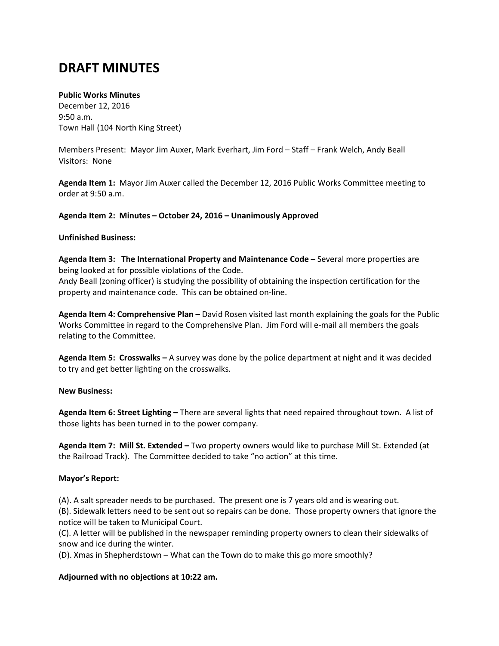# **DRAFT MINUTES**

# **Public Works Minutes**

December 12, 2016 9:50 a.m. Town Hall (104 North King Street)

Members Present: Mayor Jim Auxer, Mark Everhart, Jim Ford – Staff – Frank Welch, Andy Beall Visitors: None

**Agenda Item 1:** Mayor Jim Auxer called the December 12, 2016 Public Works Committee meeting to order at 9:50 a.m.

**Agenda Item 2: Minutes – October 24, 2016 – Unanimously Approved**

# **Unfinished Business:**

**Agenda Item 3: The International Property and Maintenance Code –** Several more properties are being looked at for possible violations of the Code. Andy Beall (zoning officer) is studying the possibility of obtaining the inspection certification for the property and maintenance code. This can be obtained on-line.

**Agenda Item 4: Comprehensive Plan –** David Rosen visited last month explaining the goals for the Public Works Committee in regard to the Comprehensive Plan. Jim Ford will e-mail all members the goals relating to the Committee.

**Agenda Item 5: Crosswalks –** A survey was done by the police department at night and it was decided to try and get better lighting on the crosswalks.

### **New Business:**

**Agenda Item 6: Street Lighting –** There are several lights that need repaired throughout town. A list of those lights has been turned in to the power company.

**Agenda Item 7: Mill St. Extended –** Two property owners would like to purchase Mill St. Extended (at the Railroad Track). The Committee decided to take "no action" at this time.

# **Mayor's Report:**

(A). A salt spreader needs to be purchased. The present one is 7 years old and is wearing out.

(B). Sidewalk letters need to be sent out so repairs can be done. Those property owners that ignore the notice will be taken to Municipal Court.

(C). A letter will be published in the newspaper reminding property owners to clean their sidewalks of snow and ice during the winter.

(D). Xmas in Shepherdstown – What can the Town do to make this go more smoothly?

# **Adjourned with no objections at 10:22 am.**